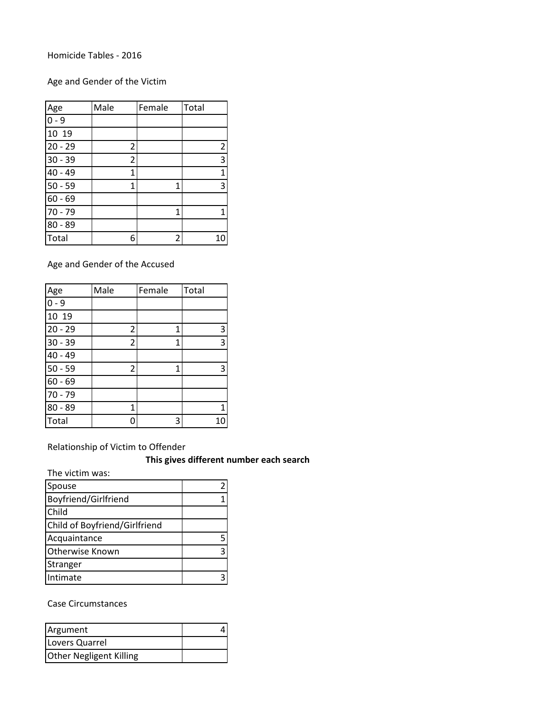Homicide Tables - 2016

Age and Gender of the Victim

| Age       | Male           | Female | Total          |
|-----------|----------------|--------|----------------|
| $0 - 9$   |                |        |                |
| 10 19     |                |        |                |
| $20 - 29$ | 2              |        | $\overline{c}$ |
| $30 - 39$ | $\overline{2}$ |        | 3              |
| 40 - 49   | 1              |        | $\overline{1}$ |
| $50 - 59$ | $\mathbf{1}$   | 1      | 3              |
| $60 - 69$ |                |        |                |
| $70 - 79$ |                | 1      | 1              |
| $80 - 89$ |                |        |                |
| Total     | 6              | 2      | 10             |

Age and Gender of the Accused

| Age       | Male           | Female | Total |
|-----------|----------------|--------|-------|
| $0 - 9$   |                |        |       |
| 10 19     |                |        |       |
| $20 - 29$ | 2              | 1      | 3     |
| $30 - 39$ | $\overline{c}$ | 1      | 3     |
| 40 - 49   |                |        |       |
| $50 - 59$ | $\overline{c}$ | 1      | 3     |
| $60 - 69$ |                |        |       |
| $70 - 79$ |                |        |       |
| $80 - 89$ | 1              |        | 1     |
| Total     | 0              | 3      | 10    |

Relationship of Victim to Offender

**This gives different number each search**

The victim was:

| Spouse                        |  |
|-------------------------------|--|
| Boyfriend/Girlfriend          |  |
| Child                         |  |
| Child of Boyfriend/Girlfriend |  |
| Acquaintance                  |  |
| <b>Otherwise Known</b>        |  |
| Stranger                      |  |
| Intimate                      |  |

Case Circumstances

| Argument                       |  |
|--------------------------------|--|
| Lovers Quarrel                 |  |
| <b>Other Negligent Killing</b> |  |